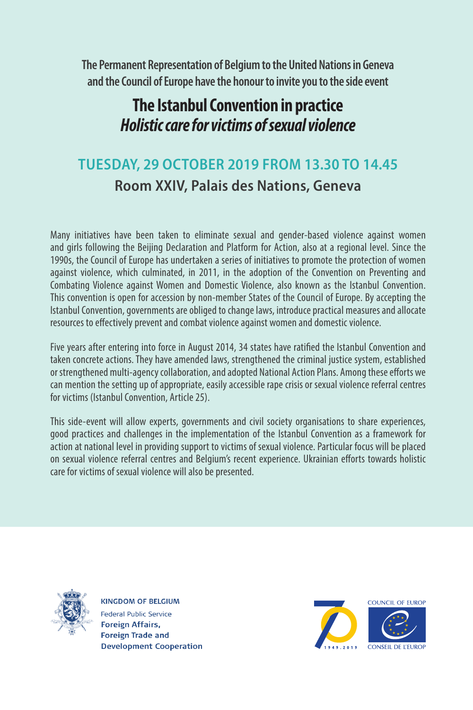**The Permanent Representation of Belgium to the United Nations in Geneva and the Council of Europe have the honour to invite you to the side event**

# **The Istanbul Convention in practice** *Holistic care for victims of sexual violence*

# **TUESDAY, 29 OCTOBER 2019 FROM 13.30 TO 14.45 Room XXIV, Palais des Nations, Geneva**

Many initiatives have been taken to eliminate sexual and gender-based violence against women and girls following the Beijing Declaration and Platform for Action, also at a regional level. Since the 1990s, the Council of Europe has undertaken a series of initiatives to promote the protection of women against violence, which culminated, in 2011, in the adoption of the Convention on Preventing and Combating Violence against Women and Domestic Violence, also known as the Istanbul Convention. This convention is open for accession by non-member States of the Council of Europe. By accepting the Istanbul Convention, governments are obliged to change laws, introduce practical measures and allocate resources to effectively prevent and combat violence against women and domestic violence.

Five years after entering into force in August 2014, 34 states have ratified the Istanbul Convention and taken concrete actions. They have amended laws, strengthened the criminal justice system, established or strengthened multi-agency collaboration, and adopted National Action Plans. Among these efforts we can mention the setting up of appropriate, easily accessible rape crisis or sexual violence referral centres for victims (Istanbul Convention, Article 25).

This side-event will allow experts, governments and civil society organisations to share experiences, good practices and challenges in the implementation of the Istanbul Convention as a framework for action at national level in providing support to victims of sexual violence. Particular focus will be placed on sexual violence referral centres and Belgium's recent experience. Ukrainian efforts towards holistic care for victims of sexual violence will also be presented.



**KINGDOM OF BELGIUM** Federal Public Service **Foreign Affairs, Foreign Trade and Development Cooperation**